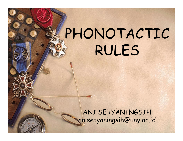# PHONOTACTIC RULES

ANI SETYANINGSIH anisetyaningsih@uny.ac.id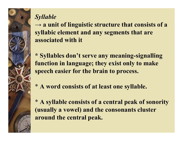*Syllable*

**→ a unit of linguistic structure that consists of a syllabic element and any segments that are associated with it**

- **\* Syllables don't serve any meaning-signalling function in language; they exist only to make speech easier for the brain to process.**
- \* **A word consists of at least one syllable.**

\* **A syllable consists of a central peak of sonority (usually a vowel) and the consonants cluster around the central peak.**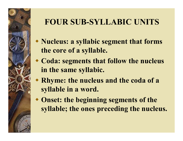## **FOUR SUB-SYLLABIC UNITS**

- **Nucleus: a syllabic segment that forms the core of a syllable.**
- **Coda: segments that follow the nucleus in the same syllabic.**
- **Rhyme: the nucleus and the coda of a syllable in a word.**
- **Onset: the beginning segments of the syllable; the ones preceding the nucleus.**

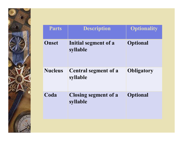

| <b>Parts</b>   | <b>Description</b>                      | <b>Optionality</b> |
|----------------|-----------------------------------------|--------------------|
| Onset          | Initial segment of a<br>syllable        | <b>Optional</b>    |
| <b>Nucleus</b> | <b>Central segment of a</b><br>syllable | <b>Obligatory</b>  |
| Coda           | <b>Closing segment of a</b><br>syllable | <b>Optional</b>    |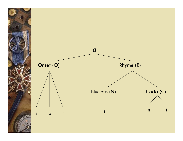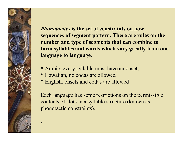

**.**

*Phonotactics* **is the set of constraints on how sequences of segment pattern. There are rules on the number and type of segments that can combine to form syllables and words which vary greatly from one language to language.**

- **\*** Arabic, every syllable must have an onset;
- \* Hawaiian, no codas are allowed
- \* English, onsets and codas are allowed

Each language has some restrictions on the permissible contents of slots in a syllable structure (known as phonotactic constraints).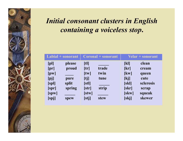## *Initial consonant clusters in English containing a voiceless stop***.**

| $Labil + sonorant$                            |                                            | Coronal + sonorant                               |                                | <b>Velar + sonorant</b>                                                                   |                                                       |
|-----------------------------------------------|--------------------------------------------|--------------------------------------------------|--------------------------------|-------------------------------------------------------------------------------------------|-------------------------------------------------------|
| [p]<br>[pr]<br>[pw]<br>[pj]<br>[spl]<br>[spr] | please<br>proud<br>pure<br>split<br>spring | [t]<br>[tr]<br>[tw]<br>$[t_1]$<br>[stl]<br>[str] | trade<br>twin<br>tune<br>strip | $\left[\mathbf{k}\right]$<br>[kr]<br>$\left[\mathbf{kw}\right]$<br>[kj]<br>[skl]<br>[skr] | clean<br>cream<br>queen<br>cute<br>sclerosis<br>scrap |
| [spw]<br>[spi]                                | spew                                       | $[$ stw $]$<br>[stj]                             | <b>stew</b>                    | [skw]<br>[skj]                                                                            | squeak<br>skewer                                      |

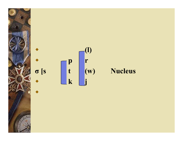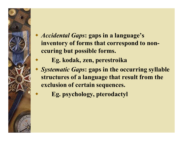- *Accidental Gaps***: gaps in a language's inventory of forms that correspond to nonccuring but possible forms.**
	- **Eg. kodak, zen, perestroika**
- *Systematic Gaps***: gaps in the occurring syllable structures of a language that result from the exclusion of certain sequences.** 
	- **Eg. psychology, pterodactyl**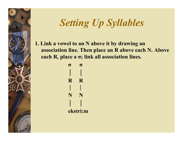## *Setting Up Syllables*

**1. Link a vowel to an N above it by drawing an association line. Then place an R above each N. Above each R, place a σ; link all association lines.**

> **σ σ │ │ R R │ │ N N │ │ ekstri:m**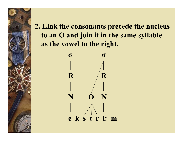2. Link the consonants precede the nucleus to an O and join it in the same syllable as the vowel to the right.



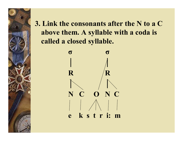3. Link the consonants after the N to a C above them. A syllable with a coda is called a closed syllable.



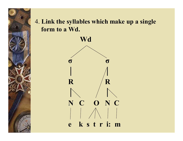

#### 4. **Link the syllables which make up a single form to a Wd.**

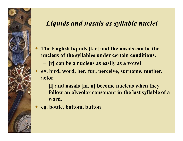#### *Liquids and nasals as syllable nuclei*

- **The English liquids [l, r] and the nasals can be the nucleus of the syllables under certain conditions.**
	- **[r] can be a nucleus as easily as a vowel**
- **eg. bird, word, her, fur, perceive, surname, mother, actor**
	- **[l] and nasals [m, n] become nucleus when they**
	- **follow an alveolar consonant in the last syllable of a word.**
- **eg. bottle, bottom, button**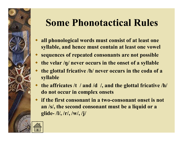## **Some Phonotactical Rules**

- **all phonological words must consist of at least one syllable, and hence must contain at least one vowel**
- **sequences of repeated consonants are not possible**
- **the velar /ŋ/ never occurs in the onset of a syllable**
- **the glottal fricative /h/ never occurs in the coda of a syllable**
- **the affricates /t / and /d /, and the glottal fricative /h/ do not occur in complex onsets**
- **if the first consonant in a two-consonant onset is not an /s/, the second consonant must be a liquid or a glide- /l/, /r/, /w/, /j/**